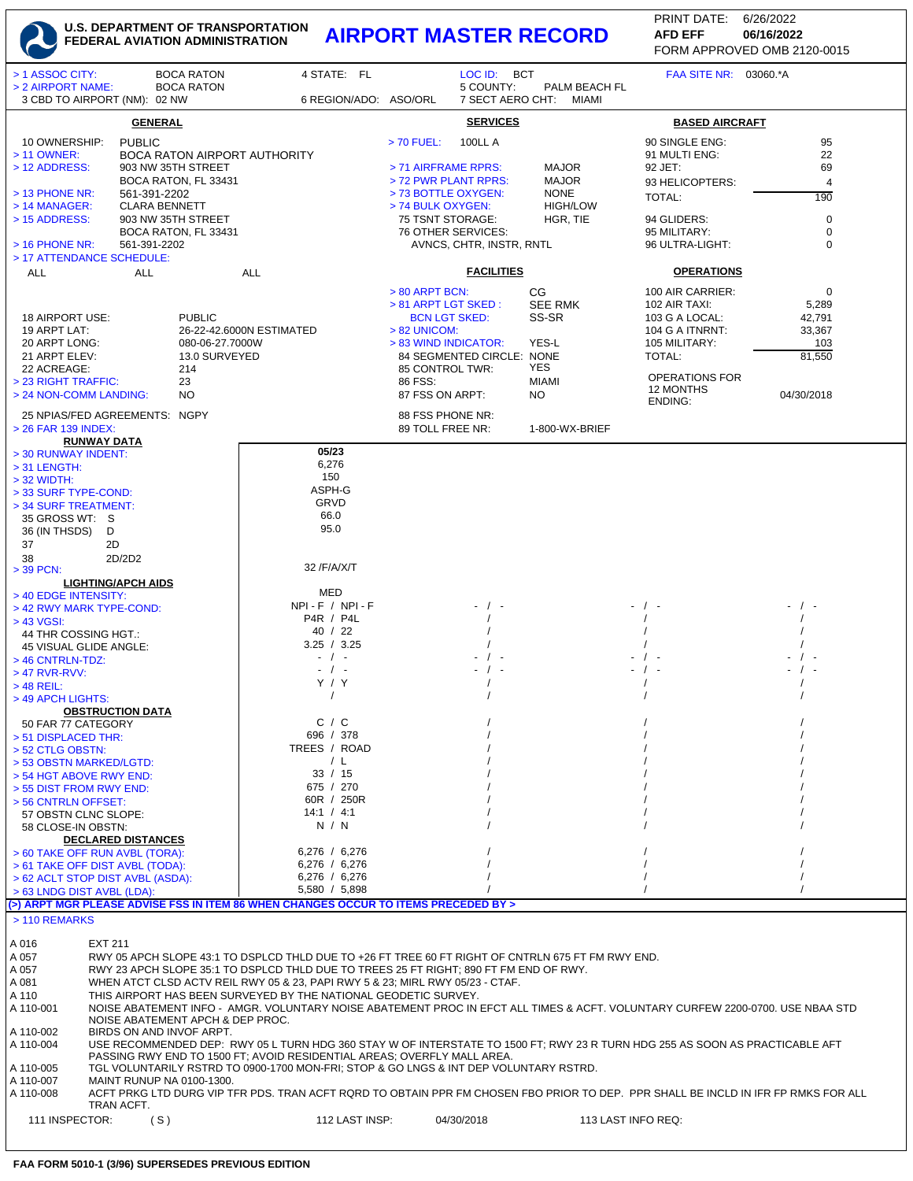## **U.S. DEPARTMENT OF TRANSPORTATION FEDERAL AVIATION ADMINISTRATION AIRPORT MASTER RECORD AFD EFF 06/16/2022**

FORM APPROVED OMB 2120-0015 PRINT DATE: 6/26/2022 **AFD EFF**

| > 1 ASSOC CITY:                                                     |                                                                                                                                                                                                   | <b>BOCA RATON</b>    | 4 STATE: FL                                                                                       |                                        | LOC ID: BCT              |                                         | FAA SITE NR: 03060.*A   |                |  |
|---------------------------------------------------------------------|---------------------------------------------------------------------------------------------------------------------------------------------------------------------------------------------------|----------------------|---------------------------------------------------------------------------------------------------|----------------------------------------|--------------------------|-----------------------------------------|-------------------------|----------------|--|
| > 2 AIRPORT NAME:<br>3 CBD TO AIRPORT (NM): 02 NW                   |                                                                                                                                                                                                   | <b>BOCA RATON</b>    | 6 REGION/ADO: ASO/ORL                                                                             |                                        | 5 COUNTY:                | PALM BEACH FL<br>7 SECT AERO CHT: MIAMI |                         |                |  |
|                                                                     |                                                                                                                                                                                                   |                      |                                                                                                   |                                        |                          |                                         |                         |                |  |
| <b>SERVICES</b><br><b>GENERAL</b><br><b>BASED AIRCRAFT</b>          |                                                                                                                                                                                                   |                      |                                                                                                   |                                        |                          |                                         |                         |                |  |
| 10 OWNERSHIP:                                                       | <b>PUBLIC</b>                                                                                                                                                                                     |                      |                                                                                                   | > 70 FUEL:                             | <b>100LL A</b>           |                                         | 90 SINGLE ENG:          | 95             |  |
| > 11 OWNER:                                                         |                                                                                                                                                                                                   |                      | <b>BOCA RATON AIRPORT AUTHORITY</b>                                                               |                                        |                          |                                         | 91 MULTI ENG:           | 22             |  |
| > 12 ADDRESS:                                                       |                                                                                                                                                                                                   | 903 NW 35TH STREET   |                                                                                                   | > 71 AIRFRAME RPRS:                    |                          | <b>MAJOR</b>                            | 92 JET:                 | 69             |  |
|                                                                     |                                                                                                                                                                                                   | BOCA RATON, FL 33431 |                                                                                                   | > 72 PWR PLANT RPRS:                   |                          | <b>MAJOR</b>                            |                         |                |  |
| $>$ 13 PHONE NR:                                                    | 561-391-2202                                                                                                                                                                                      |                      |                                                                                                   | > 73 BOTTLE OXYGEN:                    |                          | <b>NONE</b>                             | 93 HELICOPTERS:         | $\overline{4}$ |  |
| $>$ 14 MANAGER:                                                     |                                                                                                                                                                                                   |                      |                                                                                                   | > 74 BULK OXYGEN:                      |                          | <b>HIGH/LOW</b>                         | <b>TOTAL:</b>           | 190            |  |
| <b>CLARA BENNETT</b><br>903 NW 35TH STREET<br>> 15 ADDRESS:         |                                                                                                                                                                                                   |                      |                                                                                                   | 75 TSNT STORAGE:                       |                          | HGR, TIE                                | 94 GLIDERS:             | 0              |  |
|                                                                     |                                                                                                                                                                                                   | BOCA RATON, FL 33431 |                                                                                                   |                                        | 76 OTHER SERVICES:       |                                         | 95 MILITARY:            | $\mathbf 0$    |  |
| $>$ 16 PHONE NR:                                                    | 561-391-2202                                                                                                                                                                                      |                      |                                                                                                   |                                        | AVNCS, CHTR, INSTR, RNTL |                                         | 96 ULTRA-LIGHT:         | $\mathbf 0$    |  |
| > 17 ATTENDANCE SCHEDULE:                                           |                                                                                                                                                                                                   |                      |                                                                                                   |                                        |                          |                                         |                         |                |  |
| <b>ALL</b>                                                          | <b>ALL</b>                                                                                                                                                                                        |                      | <b>ALL</b>                                                                                        |                                        | <b>FACILITIES</b>        |                                         | <b>OPERATIONS</b>       |                |  |
|                                                                     |                                                                                                                                                                                                   |                      |                                                                                                   |                                        |                          |                                         |                         |                |  |
|                                                                     |                                                                                                                                                                                                   |                      |                                                                                                   | $> 80$ ARPT BCN:                       |                          | СG                                      | 100 AIR CARRIER:        | 0              |  |
|                                                                     |                                                                                                                                                                                                   |                      |                                                                                                   | > 81 ARPT LGT SKED:                    |                          | <b>SEE RMK</b>                          | 102 AIR TAXI:           | 5,289          |  |
| 18 AIRPORT USE:<br><b>PUBLIC</b>                                    |                                                                                                                                                                                                   |                      |                                                                                                   | <b>BCN LGT SKED:</b>                   |                          | SS-SR                                   | 103 G A LOCAL:          | 42,791         |  |
| 19 ARPT LAT:                                                        |                                                                                                                                                                                                   |                      | 26-22-42.6000N ESTIMATED                                                                          | $> 82$ UNICOM:<br>> 83 WIND INDICATOR: |                          |                                         | 104 G A ITNRNT:         | 33,367         |  |
| 20 ARPT LONG:<br>080-06-27.7000W                                    |                                                                                                                                                                                                   |                      |                                                                                                   |                                        |                          | YES-L                                   | 105 MILITARY:<br>TOTAL: | 103            |  |
| 21 ARPT ELEV:<br>13.0 SURVEYED<br>22 ACREAGE:                       |                                                                                                                                                                                                   |                      | 85 CONTROL TWR:                                                                                   | 84 SEGMENTED CIRCLE: NONE              | YES                      |                                         | 81,550                  |                |  |
| > 23 RIGHT TRAFFIC:                                                 |                                                                                                                                                                                                   | 214<br>23            |                                                                                                   | 86 FSS:                                |                          | <b>MIAMI</b>                            | <b>OPERATIONS FOR</b>   |                |  |
| > 24 NON-COMM LANDING:                                              |                                                                                                                                                                                                   | N <sub>O</sub>       |                                                                                                   | 87 FSS ON ARPT:                        |                          | NO                                      | 12 MONTHS               | 04/30/2018     |  |
|                                                                     |                                                                                                                                                                                                   |                      |                                                                                                   |                                        |                          |                                         | ENDING:                 |                |  |
| 25 NPIAS/FED AGREEMENTS: NGPY                                       |                                                                                                                                                                                                   |                      |                                                                                                   | 88 FSS PHONE NR:                       |                          |                                         |                         |                |  |
| > 26 FAR 139 INDEX:<br><b>RUNWAY DATA</b>                           |                                                                                                                                                                                                   |                      |                                                                                                   | 89 TOLL FREE NR:                       |                          | 1-800-WX-BRIEF                          |                         |                |  |
| > 30 RUNWAY INDENT:                                                 |                                                                                                                                                                                                   |                      | 05/23                                                                                             |                                        |                          |                                         |                         |                |  |
| $>$ 31 LENGTH:                                                      |                                                                                                                                                                                                   |                      | 6,276                                                                                             |                                        |                          |                                         |                         |                |  |
| $>$ 32 WIDTH:                                                       |                                                                                                                                                                                                   |                      | 150                                                                                               |                                        |                          |                                         |                         |                |  |
| > 33 SURF TYPE-COND:                                                |                                                                                                                                                                                                   |                      | ASPH-G                                                                                            |                                        |                          |                                         |                         |                |  |
| > 34 SURF TREATMENT:                                                |                                                                                                                                                                                                   |                      | GRVD                                                                                              |                                        |                          |                                         |                         |                |  |
| 35 GROSS WT: S                                                      |                                                                                                                                                                                                   |                      | 66.0                                                                                              |                                        |                          |                                         |                         |                |  |
| 36 (IN THSDS)                                                       | D                                                                                                                                                                                                 |                      | 95.0                                                                                              |                                        |                          |                                         |                         |                |  |
| 37                                                                  | 2D                                                                                                                                                                                                |                      |                                                                                                   |                                        |                          |                                         |                         |                |  |
| 38                                                                  | 2D/2D2                                                                                                                                                                                            |                      |                                                                                                   |                                        |                          |                                         |                         |                |  |
| $>$ 39 PCN:                                                         |                                                                                                                                                                                                   |                      | 32 /F/A/X/T                                                                                       |                                        |                          |                                         |                         |                |  |
|                                                                     | <b>LIGHTING/APCH AIDS</b>                                                                                                                                                                         |                      | MED                                                                                               |                                        |                          |                                         |                         |                |  |
| > 40 EDGE INTENSITY:<br>> 42 RWY MARK TYPE-COND:                    |                                                                                                                                                                                                   |                      | $NPI - F / NPI - F$                                                                               |                                        |                          |                                         | - / -                   |                |  |
| > 43 VGSI:                                                          |                                                                                                                                                                                                   |                      | <b>P4R / P4L</b>                                                                                  |                                        |                          |                                         |                         |                |  |
| 44 THR COSSING HGT.:                                                |                                                                                                                                                                                                   |                      | 40 / 22                                                                                           |                                        |                          |                                         |                         |                |  |
| 45 VISUAL GLIDE ANGLE:                                              |                                                                                                                                                                                                   |                      | 3.25 / 3.25                                                                                       |                                        |                          |                                         |                         |                |  |
| > 46 CNTRLN-TDZ:                                                    |                                                                                                                                                                                                   |                      | $-$ / $-$                                                                                         |                                        |                          |                                         |                         |                |  |
| $>$ 47 RVR-RVV:                                                     |                                                                                                                                                                                                   |                      | $-$ / $-$                                                                                         |                                        |                          |                                         |                         |                |  |
| $>$ 48 REIL:                                                        |                                                                                                                                                                                                   |                      | Y / Y                                                                                             |                                        |                          |                                         |                         |                |  |
| > 49 APCH LIGHTS:                                                   |                                                                                                                                                                                                   |                      |                                                                                                   |                                        |                          |                                         |                         |                |  |
| <b>OBSTRUCTION DATA</b>                                             |                                                                                                                                                                                                   |                      | C / C                                                                                             |                                        |                          |                                         |                         |                |  |
| 50 FAR 77 CATEGORY<br>> 51 DISPLACED THR:                           |                                                                                                                                                                                                   |                      | 696 / 378                                                                                         |                                        |                          |                                         |                         |                |  |
| > 52 CTLG OBSTN:                                                    |                                                                                                                                                                                                   |                      | TREES / ROAD                                                                                      |                                        |                          |                                         |                         |                |  |
| > 53 OBSTN MARKED/LGTD:                                             |                                                                                                                                                                                                   |                      | / L                                                                                               |                                        |                          |                                         |                         |                |  |
| > 54 HGT ABOVE RWY END:                                             |                                                                                                                                                                                                   |                      | 33 / 15                                                                                           |                                        |                          |                                         |                         |                |  |
| > 55 DIST FROM RWY END:                                             |                                                                                                                                                                                                   |                      | 675 / 270                                                                                         |                                        |                          |                                         |                         |                |  |
| > 56 CNTRLN OFFSET:                                                 |                                                                                                                                                                                                   |                      | 60R / 250R                                                                                        |                                        |                          |                                         |                         |                |  |
| 57 OBSTN CLNC SLOPE:                                                |                                                                                                                                                                                                   |                      | 14:1 / 4:1                                                                                        |                                        |                          |                                         |                         |                |  |
| 58 CLOSE-IN OBSTN:                                                  |                                                                                                                                                                                                   |                      | N / N                                                                                             |                                        |                          |                                         |                         |                |  |
|                                                                     | <b>DECLARED DISTANCES</b>                                                                                                                                                                         |                      |                                                                                                   |                                        |                          |                                         |                         |                |  |
| > 60 TAKE OFF RUN AVBL (TORA):                                      |                                                                                                                                                                                                   |                      | $6,276$ / 6,276<br>6,276 / 6,276                                                                  |                                        |                          |                                         |                         |                |  |
| > 61 TAKE OFF DIST AVBL (TODA):<br>> 62 ACLT STOP DIST AVBL (ASDA): |                                                                                                                                                                                                   |                      | 6,276 / 6,276                                                                                     |                                        |                          |                                         |                         |                |  |
| > 63 LNDG DIST AVBL (LDA):                                          |                                                                                                                                                                                                   |                      | 5,580 / 5,898                                                                                     |                                        |                          |                                         |                         |                |  |
|                                                                     |                                                                                                                                                                                                   |                      | (>) ARPT MGR PLEASE ADVISE FSS IN ITEM 86 WHEN CHANGES OCCUR TO ITEMS PRECEDED BY >               |                                        |                          |                                         |                         |                |  |
| > 110 REMARKS                                                       |                                                                                                                                                                                                   |                      |                                                                                                   |                                        |                          |                                         |                         |                |  |
|                                                                     |                                                                                                                                                                                                   |                      |                                                                                                   |                                        |                          |                                         |                         |                |  |
| A 016                                                               | EXT 211                                                                                                                                                                                           |                      |                                                                                                   |                                        |                          |                                         |                         |                |  |
| A 057                                                               |                                                                                                                                                                                                   |                      | RWY 05 APCH SLOPE 43:1 TO DSPLCD THLD DUE TO +26 FT TREE 60 FT RIGHT OF CNTRLN 675 FT FM RWY END. |                                        |                          |                                         |                         |                |  |
| A 057                                                               | RWY 23 APCH SLOPE 35:1 TO DSPLCD THLD DUE TO TREES 25 FT RIGHT; 890 FT FM END OF RWY.                                                                                                             |                      |                                                                                                   |                                        |                          |                                         |                         |                |  |
| A 081                                                               | WHEN ATCT CLSD ACTV REIL RWY 05 & 23, PAPI RWY 5 & 23; MIRL RWY 05/23 - CTAF.                                                                                                                     |                      |                                                                                                   |                                        |                          |                                         |                         |                |  |
| A 110<br>A 110-001                                                  | THIS AIRPORT HAS BEEN SURVEYED BY THE NATIONAL GEODETIC SURVEY.<br>NOISE ABATEMENT INFO - AMGR. VOLUNTARY NOISE ABATEMENT PROC IN EFCT ALL TIMES & ACFT. VOLUNTARY CURFEW 2200-0700. USE NBAA STD |                      |                                                                                                   |                                        |                          |                                         |                         |                |  |
|                                                                     | NOISE ABATEMENT APCH & DEP PROC.                                                                                                                                                                  |                      |                                                                                                   |                                        |                          |                                         |                         |                |  |
| A 110-002                                                           | BIRDS ON AND INVOF ARPT.                                                                                                                                                                          |                      |                                                                                                   |                                        |                          |                                         |                         |                |  |
| A 110-004                                                           | USE RECOMMENDED DEP: RWY 05 L TURN HDG 360 STAY W OF INTERSTATE TO 1500 FT; RWY 23 R TURN HDG 255 AS SOON AS PRACTICABLE AFT                                                                      |                      |                                                                                                   |                                        |                          |                                         |                         |                |  |
|                                                                     | PASSING RWY END TO 1500 FT; AVOID RESIDENTIAL AREAS; OVERFLY MALL AREA.                                                                                                                           |                      |                                                                                                   |                                        |                          |                                         |                         |                |  |
| A 110-005                                                           | TGL VOLUNTARILY RSTRD TO 0900-1700 MON-FRI; STOP & GO LNGS & INT DEP VOLUNTARY RSTRD.                                                                                                             |                      |                                                                                                   |                                        |                          |                                         |                         |                |  |
| A 110-007                                                           | MAINT RUNUP NA 0100-1300.<br>ACFT PRKG LTD DURG VIP TFR PDS. TRAN ACFT RQRD TO OBTAIN PPR FM CHOSEN FBO PRIOR TO DEP. PPR SHALL BE INCLD IN IFR FP RMKS FOR ALL                                   |                      |                                                                                                   |                                        |                          |                                         |                         |                |  |
| A 110-008                                                           | TRAN ACFT.                                                                                                                                                                                        |                      |                                                                                                   |                                        |                          |                                         |                         |                |  |
| 111 INSPECTOR:                                                      | (S)                                                                                                                                                                                               |                      | 112 LAST INSP:                                                                                    |                                        | 04/30/2018               |                                         | 113 LAST INFO REQ:      |                |  |
|                                                                     |                                                                                                                                                                                                   |                      |                                                                                                   |                                        |                          |                                         |                         |                |  |